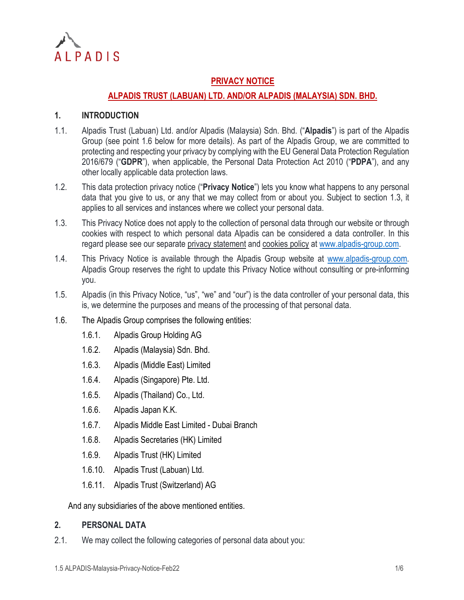

# **PRIVACY NOTICE**

# **ALPADIS TRUST (LABUAN) LTD. AND/OR ALPADIS (MALAYSIA) SDN. BHD.**

### **1. INTRODUCTION**

- 1.1. Alpadis Trust (Labuan) Ltd. and/or Alpadis (Malaysia) Sdn. Bhd. ("**Alpadis**") is part of the Alpadis Group (see point [1.6](#page-0-0) below for more details). As part of the Alpadis Group, we are committed to protecting and respecting your privacy by complying with the EU General Data Protection Regulation 2016/679 ("**GDPR**"), when applicable, the Personal Data Protection Act 2010 ("**PDPA**"), and any other locally applicable data protection laws.
- 1.2. This data protection privacy notice ("**Privacy Notice**") lets you know what happens to any personal data that you give to us, or any that we may collect from or about you. Subject to section [1.3,](#page-0-1) it applies to all services and instances where we collect your personal data.
- <span id="page-0-1"></span>1.3. This Privacy Notice does not apply to the collection of personal data through our website or through cookies with respect to which personal data Alpadis can be considered a data controller. In this regard please see our separate privacy statement and cookies policy at [www.alpadis-group.com.](http://www.alpadis-group.com/)
- 1.4. This Privacy Notice is available through the Alpadis Group website at [www.alpadis-group.com.](http://www.alpadis-group.com/) Alpadis Group reserves the right to update this Privacy Notice without consulting or pre-informing you.
- 1.5. Alpadis (in this Privacy Notice, "us", "we" and "our") is the data controller of your personal data, this is, we determine the purposes and means of the processing of that personal data.
- <span id="page-0-0"></span>1.6. The Alpadis Group comprises the following entities:
	- 1.6.1. Alpadis Group Holding AG
	- 1.6.2. Alpadis (Malaysia) Sdn. Bhd.
	- 1.6.3. Alpadis (Middle East) Limited
	- 1.6.4. Alpadis (Singapore) Pte. Ltd.
	- 1.6.5. Alpadis (Thailand) Co., Ltd.
	- 1.6.6. Alpadis Japan K.K.
	- 1.6.7. Alpadis Middle East Limited Dubai Branch
	- 1.6.8. Alpadis Secretaries (HK) Limited
	- 1.6.9. Alpadis Trust (HK) Limited
	- 1.6.10. Alpadis Trust (Labuan) Ltd.
	- 1.6.11. Alpadis Trust (Switzerland) AG

And any subsidiaries of the above mentioned entities.

#### **2. PERSONAL DATA**

2.1. We may collect the following categories of personal data about you: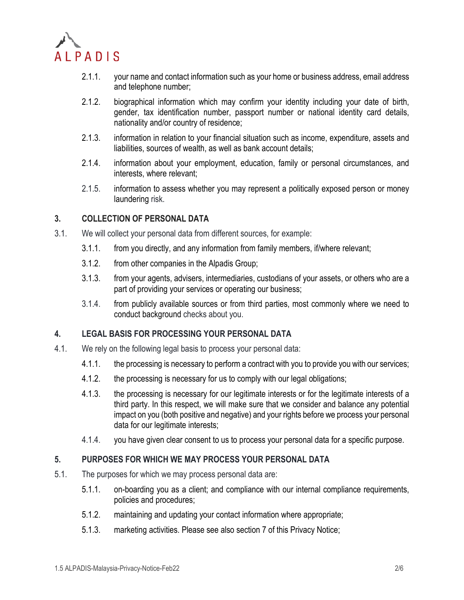

- 2.1.1. your name and contact information such as your home or business address, email address and telephone number;
- 2.1.2. biographical information which may confirm your identity including your date of birth, gender, tax identification number, passport number or national identity card details, nationality and/or country of residence;
- 2.1.3. information in relation to your financial situation such as income, expenditure, assets and liabilities, sources of wealth, as well as bank account details;
- 2.1.4. information about your employment, education, family or personal circumstances, and interests, where relevant;
- 2.1.5. information to assess whether you may represent a politically exposed person or money laundering risk.

### **3. COLLECTION OF PERSONAL DATA**

- 3.1. We will collect your personal data from different sources, for example:
	- 3.1.1. from you directly, and any information from family members, if/where relevant;
	- 3.1.2. from other companies in the Alpadis Group;
	- 3.1.3. from your agents, advisers, intermediaries, custodians of your assets, or others who are a part of providing your services or operating our business;
	- 3.1.4. from publicly available sources or from third parties, most commonly where we need to conduct background checks about you.

### **4. LEGAL BASIS FOR PROCESSING YOUR PERSONAL DATA**

- 4.1. We rely on the following legal basis to process your personal data:
	- 4.1.1. the processing is necessary to perform a contract with you to provide you with our services;
	- 4.1.2. the processing is necessary for us to comply with our legal obligations;
	- 4.1.3. the processing is necessary for our legitimate interests or for the legitimate interests of a third party. In this respect, we will make sure that we consider and balance any potential impact on you (both positive and negative) and your rights before we process your personal data for our legitimate interests;
	- 4.1.4. you have given clear consent to us to process your personal data for a specific purpose.

### **5. PURPOSES FOR WHICH WE MAY PROCESS YOUR PERSONAL DATA**

- 5.1. The purposes for which we may process personal data are:
	- 5.1.1. on-boarding you as a client; and compliance with our internal compliance requirements, policies and procedures;
	- 5.1.2. maintaining and updating your contact information where appropriate;
	- 5.1.3. marketing activities. Please see also section [7](#page-3-0) of this Privacy Notice;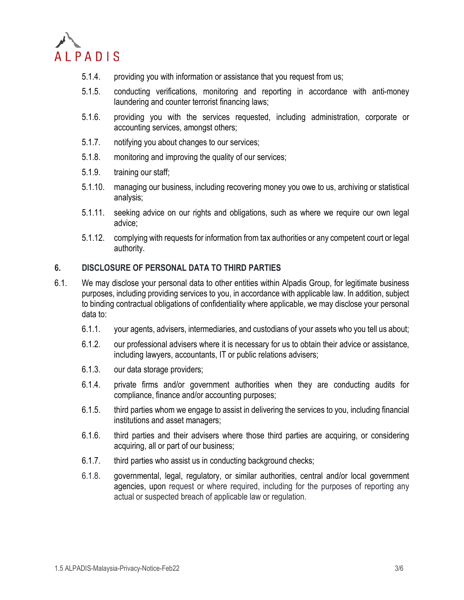

- 5.1.4. providing you with information or assistance that you request from us;
- 5.1.5. conducting verifications, monitoring and reporting in accordance with anti-money laundering and counter terrorist financing laws;
- 5.1.6. providing you with the services requested, including administration, corporate or accounting services, amongst others;
- 5.1.7. notifying you about changes to our services;
- 5.1.8. monitoring and improving the quality of our services;
- 5.1.9. training our staff;
- 5.1.10. managing our business, including recovering money you owe to us, archiving or statistical analysis;
- 5.1.11. seeking advice on our rights and obligations, such as where we require our own legal advice;
- 5.1.12. complying with requests for information from tax authorities or any competent court or legal authority.

### **6. DISCLOSURE OF PERSONAL DATA TO THIRD PARTIES**

- 6.1. We may disclose your personal data to other entities within Alpadis Group, for legitimate business purposes, including providing services to you, in accordance with applicable law. In addition, subject to binding contractual obligations of confidentiality where applicable, we may disclose your personal data to:
	- 6.1.1. your agents, advisers, intermediaries, and custodians of your assets who you tell us about;
	- 6.1.2. our professional advisers where it is necessary for us to obtain their advice or assistance, including lawyers, accountants, IT or public relations advisers;
	- 6.1.3. our data storage providers;
	- 6.1.4. private firms and/or government authorities when they are conducting audits for compliance, finance and/or accounting purposes;
	- 6.1.5. third parties whom we engage to assist in delivering the services to you, including financial institutions and asset managers;
	- 6.1.6. third parties and their advisers where those third parties are acquiring, or considering acquiring, all or part of our business;
	- 6.1.7. third parties who assist us in conducting background checks;
	- 6.1.8. governmental, legal, regulatory, or similar authorities, central and/or local government agencies, upon request or where required, including for the purposes of reporting any actual or suspected breach of applicable law or regulation.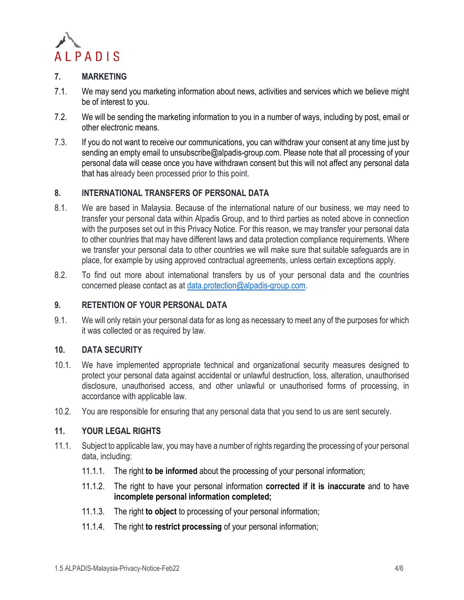

## <span id="page-3-0"></span>**7. MARKETING**

- 7.1. We may send you marketing information about news, activities and services which we believe might be of interest to you.
- 7.2. We will be sending the marketing information to you in a number of ways, including by post, email or other electronic means.
- 7.3. If you do not want to receive our communications, you can withdraw your consent at any time just by sending an empty email to unsubscribe@alpadis-group.com. Please note that all processing of your personal data will cease once you have withdrawn consent but this will not affect any personal data that has already been processed prior to this point.

## **8. INTERNATIONAL TRANSFERS OF PERSONAL DATA**

- 8.1. We are based in Malaysia. Because of the international nature of our business, we may need to transfer your personal data within Alpadis Group, and to third parties as noted above in connection with the purposes set out in this Privacy Notice. For this reason, we may transfer your personal data to other countries that may have different laws and data protection compliance requirements. Where we transfer your personal data to other countries we will make sure that suitable safeguards are in place, for example by using approved contractual agreements, unless certain exceptions apply.
- 8.2. To find out more about international transfers by us of your personal data and the countries concerned please contact as at [data.protection@alpadis-group.com.](mailto:data.protection@alpadis-group.com)

## **9. RETENTION OF YOUR PERSONAL DATA**

9.1. We will only retain your personal data for as long as necessary to meet any of the purposes for which it was collected or as required by law.

## **10. DATA SECURITY**

- 10.1. We have implemented appropriate technical and organizational security measures designed to protect your personal data against accidental or unlawful destruction, loss, alteration, unauthorised disclosure, unauthorised access, and other unlawful or unauthorised forms of processing, in accordance with applicable law.
- 10.2. You are responsible for ensuring that any personal data that you send to us are sent securely.

#### **11. YOUR LEGAL RIGHTS**

- 11.1. Subject to applicable law, you may have a number of rights regarding the processing of your personal data, including:
	- 11.1.1. The right **to be informed** about the processing of your personal information;
	- 11.1.2. The right to have your personal information **corrected if it is inaccurate** and to have **incomplete personal information completed;**
	- 11.1.3. The right **to object** to processing of your personal information;
	- 11.1.4. The right **to restrict processing** of your personal information;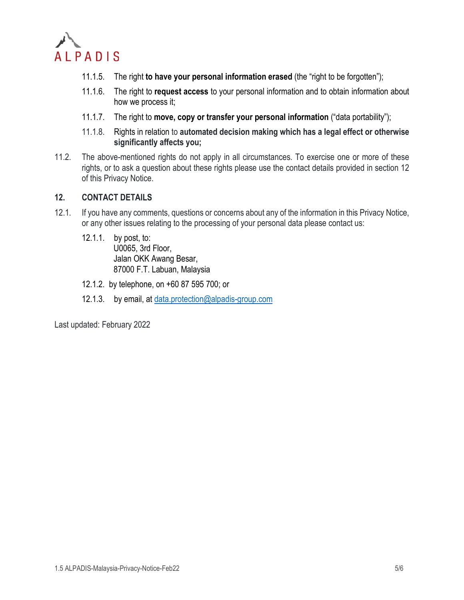

- 11.1.5. The right **to have your personal information erased** (the "right to be forgotten");
- 11.1.6. The right to **request access** to your personal information and to obtain information about how we process it;
- 11.1.7. The right to **move, copy or transfer your personal information** ("data portability");
- 11.1.8. Rights in relation to **automated decision making which has a legal effect or otherwise significantly affects you;**
- 11.2. The above-mentioned rights do not apply in all circumstances. To exercise one or more of these rights, or to ask a question about these rights please use the contact details provided in section [12](#page-4-0) of this Privacy Notice.

### <span id="page-4-0"></span>**12. CONTACT DETAILS**

- 12.1. If you have any comments, questions or concerns about any of the information in this Privacy Notice, or any other issues relating to the processing of your personal data please contact us:
	- 12.1.1. by post, to: U0065, 3rd Floor, Jalan OKK Awang Besar, 87000 F.T. Labuan, Malaysia
	- 12.1.2. by telephone, on +60 87 595 700; or
	- 12.1.3. by email, at [data.protection@alpadis-group.com](mailto:data.protection@alpadis-group.com)

Last updated: February 2022